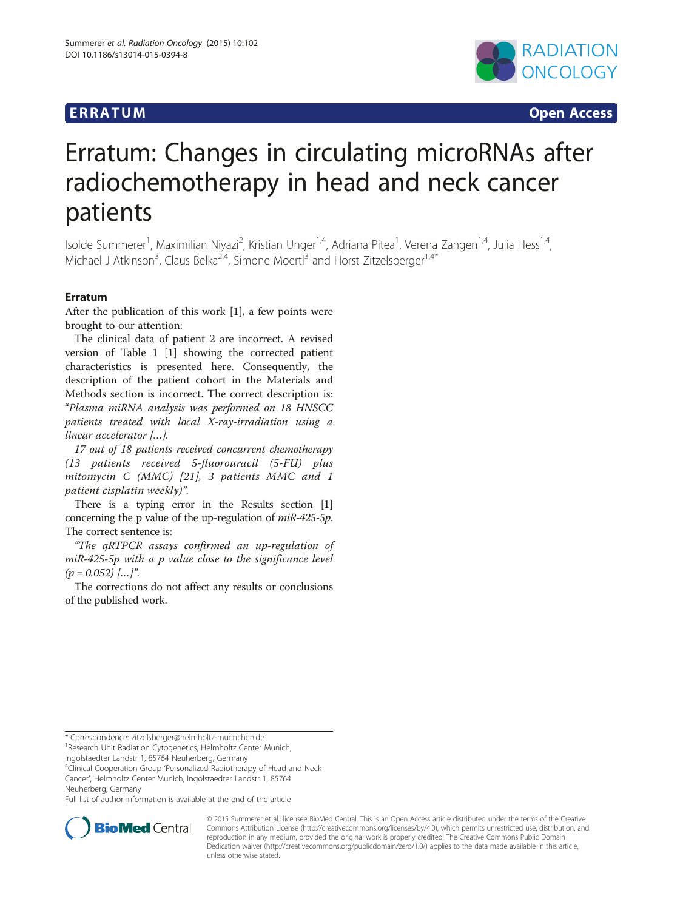

**ERRATUM CONSTRUCTION** 

# Erratum: Changes in circulating microRNAs after radiochemotherapy in head and neck cancer patients

Isolde Summerer<sup>1</sup>, Maximilian Niyazi<sup>2</sup>, Kristian Unger<sup>1,4</sup>, Adriana Pitea<sup>1</sup>, Verena Zangen<sup>1,4</sup>, Julia Hess<sup>1,4</sup>, Michael J Atkinson<sup>3</sup>, Claus Belka<sup>2,4</sup>, Simone Moertl<sup>3</sup> and Horst Zitzelsberger<sup>1,4\*</sup>

# Erratum

After the publication of this work [\[1](#page-1-0)], a few points were brought to our attention:

The clinical data of patient 2 are incorrect. A revised version of Table [1](#page-1-0) [[1](#page-1-0)] showing the corrected patient characteristics is presented here. Consequently, the description of the patient cohort in the Materials and Methods section is incorrect. The correct description is: "Plasma miRNA analysis was performed on 18 HNSCC patients treated with local X-ray-irradiation using a linear accelerator […].

17 out of 18 patients received concurrent chemotherapy (13 patients received 5-fluorouracil (5-FU) plus mitomycin C (MMC) [21], 3 patients MMC and 1 patient cisplatin weekly)".

There is a typing error in the Results section [[1](#page-1-0)] concerning the p value of the up-regulation of miR-425-5p. The correct sentence is:

"The qRTPCR assays confirmed an up-regulation of miR-425-5p with a p value close to the significance level  $(p = 0.052)$  [...]".

The corrections do not affect any results or conclusions of the published work.

<sup>4</sup>Clinical Cooperation Group 'Personalized Radiotherapy of Head and Neck Cancer', Helmholtz Center Munich, Ingolstaedter Landstr 1, 85764 Neuherberg, Germany

Full list of author information is available at the end of the article



© 2015 Summerer et al.; licensee BioMed Central. This is an Open Access article distributed under the terms of the Creative Commons Attribution License [\(http://creativecommons.org/licenses/by/4.0\)](http://creativecommons.org/licenses/by/4.0), which permits unrestricted use, distribution, and reproduction in any medium, provided the original work is properly credited. The Creative Commons Public Domain Dedication waiver [\(http://creativecommons.org/publicdomain/zero/1.0/](http://creativecommons.org/publicdomain/zero/1.0/)) applies to the data made available in this article, unless otherwise stated.

<sup>\*</sup> Correspondence: [zitzelsberger@helmholtz-muenchen.de](mailto:zitzelsberger@helmholtz-muenchen.de) <sup>1</sup>

<sup>&</sup>lt;sup>1</sup> Research Unit Radiation Cytogenetics, Helmholtz Center Munich,

Ingolstaedter Landstr 1, 85764 Neuherberg, Germany